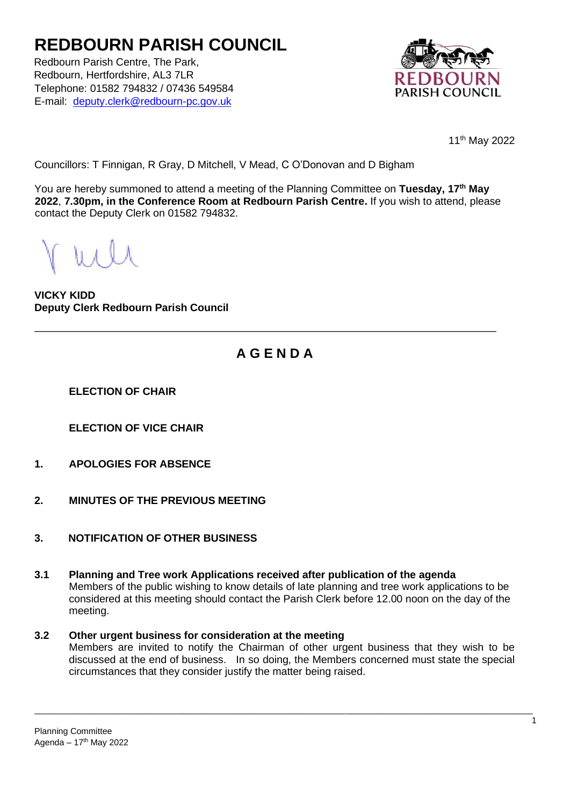# **REDBOURN PARISH COUNCIL**

Redbourn Parish Centre, The Park, Redbourn, Hertfordshire, AL3 7LR Telephone: 01582 794832 / 07436 549584 E-mail: deputy.clerk@redbourn-pc.gov.uk



11th May 2022

Councillors: T Finnigan, R Gray, D Mitchell, V Mead, C O'Donovan and D Bigham

You are hereby summoned to attend a meeting of the Planning Committee on **Tuesday, 17th May 2022**, **7.30pm, in the Conference Room at Redbourn Parish Centre.** If you wish to attend, please contact the Deputy Clerk on 01582 794832.

**VICKY KIDD Deputy Clerk Redbourn Parish Council**

### **A G E N D A**

**ELECTION OF CHAIR**

**ELECTION OF VICE CHAIR**

- **1. APOLOGIES FOR ABSENCE**
- **2. MINUTES OF THE PREVIOUS MEETING**
- **3. NOTIFICATION OF OTHER BUSINESS**
- **3.1 Planning and Tree work Applications received after publication of the agenda** Members of the public wishing to know details of late planning and tree work applications to be considered at this meeting should contact the Parish Clerk before 12.00 noon on the day of the meeting.

#### **3.2 Other urgent business for consideration at the meeting**

Members are invited to notify the Chairman of other urgent business that they wish to be discussed at the end of business. In so doing, the Members concerned must state the special circumstances that they consider justify the matter being raised.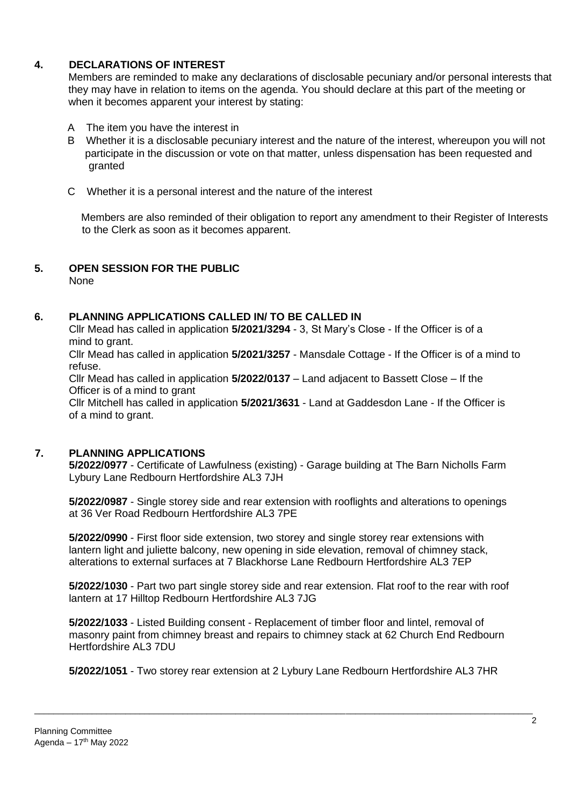#### **4. DECLARATIONS OF INTEREST**

Members are reminded to make any declarations of disclosable pecuniary and/or personal interests that they may have in relation to items on the agenda. You should declare at this part of the meeting or when it becomes apparent your interest by stating:

- A The item you have the interest in
- B Whether it is a disclosable pecuniary interest and the nature of the interest, whereupon you will not participate in the discussion or vote on that matter, unless dispensation has been requested and granted
- C Whether it is a personal interest and the nature of the interest

 Members are also reminded of their obligation to report any amendment to their Register of Interests to the Clerk as soon as it becomes apparent.

## **5. OPEN SESSION FOR THE PUBLIC**

None

#### **6. PLANNING APPLICATIONS CALLED IN/ TO BE CALLED IN**

Cllr Mead has called in application **5/2021/3294** - 3, St Mary's Close - If the Officer is of a mind to grant.

Cllr Mead has called in application **5/2021/3257** - Mansdale Cottage - If the Officer is of a mind to refuse.

Cllr Mead has called in application **5/2022/0137** – Land adjacent to Bassett Close – If the Officer is of a mind to grant

Cllr Mitchell has called in application **5/2021/3631** - Land at Gaddesdon Lane - If the Officer is of a mind to grant.

#### **7. PLANNING APPLICATIONS**

**5/2022/0977** - Certificate of Lawfulness (existing) - Garage building at The Barn Nicholls Farm Lybury Lane Redbourn Hertfordshire AL3 7JH

**5/2022/0987** - Single storey side and rear extension with rooflights and alterations to openings at 36 Ver Road Redbourn Hertfordshire AL3 7PE

**5/2022/0990** - First floor side extension, two storey and single storey rear extensions with lantern light and juliette balcony, new opening in side elevation, removal of chimney stack, alterations to external surfaces at 7 Blackhorse Lane Redbourn Hertfordshire AL3 7EP

**5/2022/1030** - Part two part single storey side and rear extension. Flat roof to the rear with roof lantern at 17 Hilltop Redbourn Hertfordshire AL3 7JG

**5/2022/1033** - Listed Building consent - Replacement of timber floor and lintel, removal of masonry paint from chimney breast and repairs to chimney stack at 62 Church End Redbourn Hertfordshire AL3 7DU

**5/2022/1051** - Two storey rear extension at 2 Lybury Lane Redbourn Hertfordshire AL3 7HR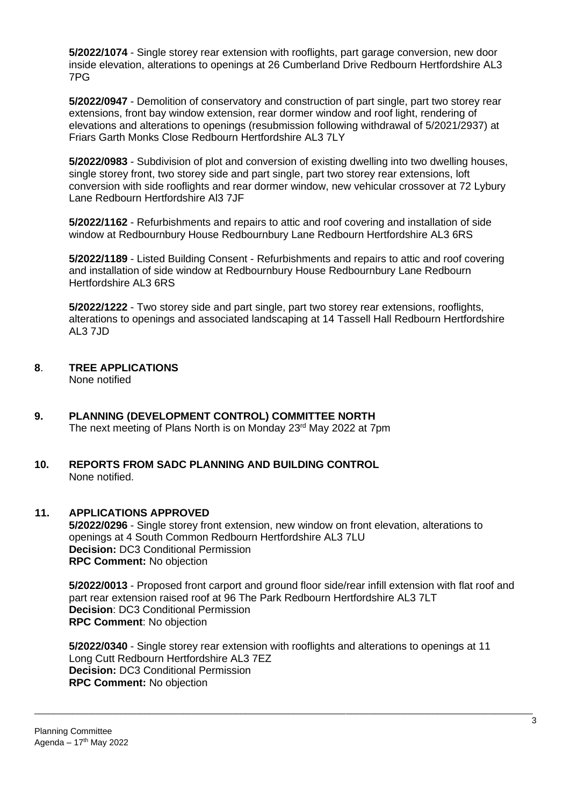**5/2022/1074** - Single storey rear extension with rooflights, part garage conversion, new door inside elevation, alterations to openings at 26 Cumberland Drive Redbourn Hertfordshire AL3 7PG

**5/2022/0947** - Demolition of conservatory and construction of part single, part two storey rear extensions, front bay window extension, rear dormer window and roof light, rendering of elevations and alterations to openings (resubmission following withdrawal of 5/2021/2937) at Friars Garth Monks Close Redbourn Hertfordshire AL3 7LY

**5/2022/0983** - Subdivision of plot and conversion of existing dwelling into two dwelling houses, single storey front, two storey side and part single, part two storey rear extensions, loft conversion with side rooflights and rear dormer window, new vehicular crossover at 72 Lybury Lane Redbourn Hertfordshire Al3 7JF

**5/2022/1162** - Refurbishments and repairs to attic and roof covering and installation of side window at Redbournbury House Redbournbury Lane Redbourn Hertfordshire AL3 6RS

**5/2022/1189** - Listed Building Consent - Refurbishments and repairs to attic and roof covering and installation of side window at Redbournbury House Redbournbury Lane Redbourn Hertfordshire AL3 6RS

**5/2022/1222** - Two storey side and part single, part two storey rear extensions, rooflights, alterations to openings and associated landscaping at 14 Tassell Hall Redbourn Hertfordshire AL3 7JD

**8**. **TREE APPLICATIONS**

None notified

- **9. PLANNING (DEVELOPMENT CONTROL) COMMITTEE NORTH**  The next meeting of Plans North is on Monday 23<sup>rd</sup> May 2022 at 7pm
- **10. REPORTS FROM SADC PLANNING AND BUILDING CONTROL**  None notified.

#### **11. APPLICATIONS APPROVED**

**5/2022/0296** - Single storey front extension, new window on front elevation, alterations to openings at 4 South Common Redbourn Hertfordshire AL3 7LU **Decision:** DC3 Conditional Permission **RPC Comment:** No objection

**5/2022/0013** - Proposed front carport and ground floor side/rear infill extension with flat roof and part rear extension raised roof at 96 The Park Redbourn Hertfordshire AL3 7LT **Decision**: DC3 Conditional Permission **RPC Comment**: No objection

**5/2022/0340** - Single storey rear extension with rooflights and alterations to openings at 11 Long Cutt Redbourn Hertfordshire AL3 7EZ **Decision:** DC3 Conditional Permission **RPC Comment:** No objection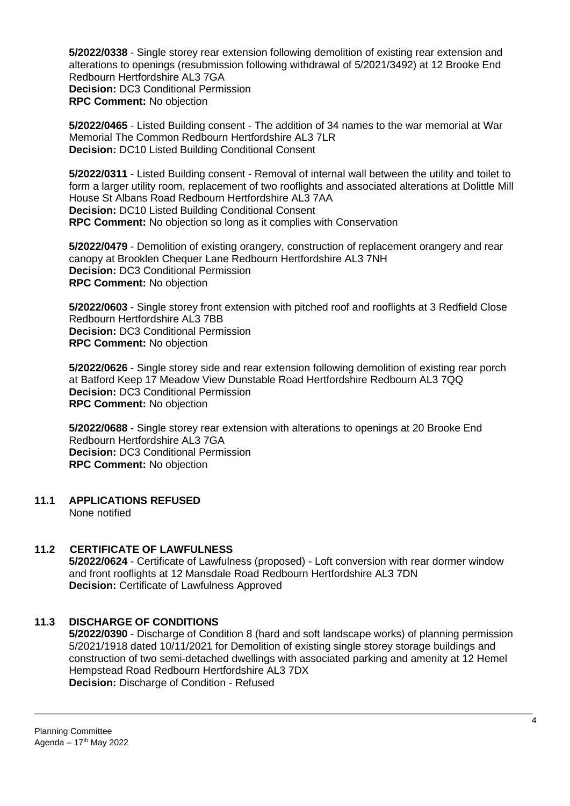**5/2022/0338** - Single storey rear extension following demolition of existing rear extension and alterations to openings (resubmission following withdrawal of 5/2021/3492) at 12 Brooke End Redbourn Hertfordshire AL3 7GA **Decision:** DC3 Conditional Permission **RPC Comment:** No objection

**5/2022/0465** - Listed Building consent - The addition of 34 names to the war memorial at War Memorial The Common Redbourn Hertfordshire AL3 7LR **Decision:** DC10 Listed Building Conditional Consent

**5/2022/0311** - Listed Building consent - Removal of internal wall between the utility and toilet to form a larger utility room, replacement of two rooflights and associated alterations at Dolittle Mill House St Albans Road Redbourn Hertfordshire AL3 7AA **Decision:** DC10 Listed Building Conditional Consent **RPC Comment:** No objection so long as it complies with Conservation

**5/2022/0479** - Demolition of existing orangery, construction of replacement orangery and rear canopy at Brooklen Chequer Lane Redbourn Hertfordshire AL3 7NH **Decision:** DC3 Conditional Permission **RPC Comment:** No objection

**5/2022/0603** - Single storey front extension with pitched roof and rooflights at 3 Redfield Close Redbourn Hertfordshire AL3 7BB **Decision:** DC3 Conditional Permission **RPC Comment:** No objection

**5/2022/0626** - Single storey side and rear extension following demolition of existing rear porch at Batford Keep 17 Meadow View Dunstable Road Hertfordshire Redbourn AL3 7QQ **Decision:** DC3 Conditional Permission **RPC Comment:** No objection

**5/2022/0688** - Single storey rear extension with alterations to openings at 20 Brooke End Redbourn Hertfordshire AL3 7GA **Decision:** DC3 Conditional Permission **RPC Comment:** No objection

**11.1 APPLICATIONS REFUSED**

None notified

#### **11.2 CERTIFICATE OF LAWFULNESS**

**5/2022/0624** - Certificate of Lawfulness (proposed) - Loft conversion with rear dormer window and front rooflights at 12 Mansdale Road Redbourn Hertfordshire AL3 7DN **Decision:** Certificate of Lawfulness Approved

#### **11.3 DISCHARGE OF CONDITIONS**

**5/2022/0390** - Discharge of Condition 8 (hard and soft landscape works) of planning permission 5/2021/1918 dated 10/11/2021 for Demolition of existing single storey storage buildings and construction of two semi-detached dwellings with associated parking and amenity at 12 Hemel Hempstead Road Redbourn Hertfordshire AL3 7DX **Decision:** Discharge of Condition - Refused